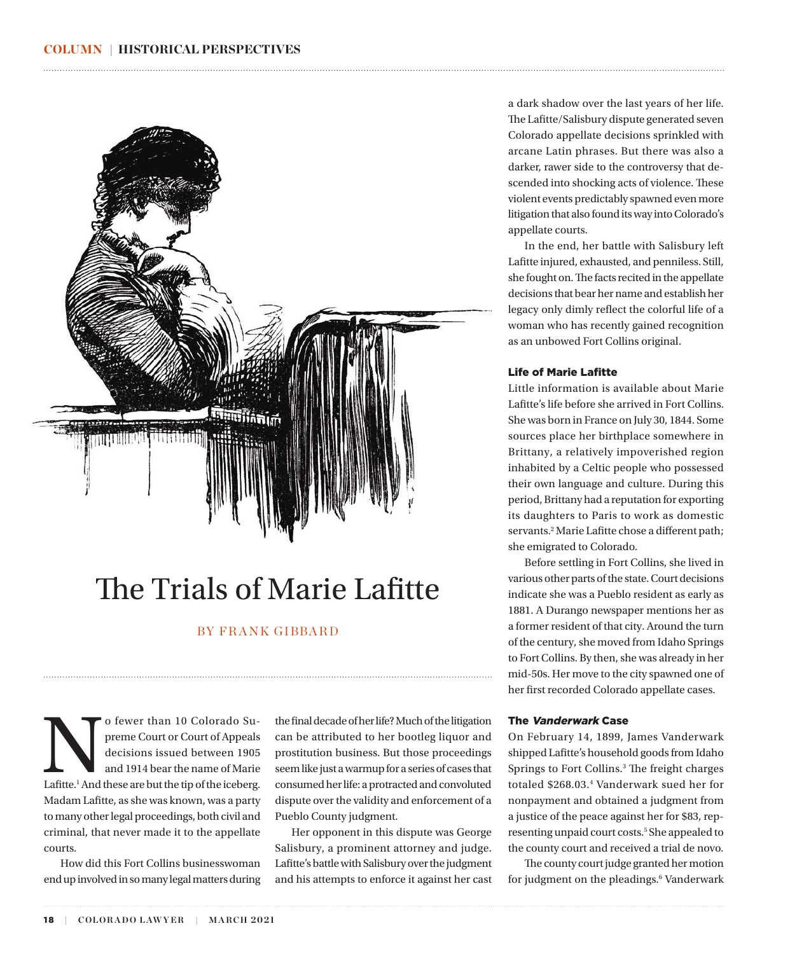<span id="page-0-0"></span>

# The Trials of Marie Lafitte

# BY FRANK GIBBARD

o fewer than 10 Colorado Supreme Court of Appeals<br>decisions issued between 1905<br>and 1914 bear the name of Marie<br>Lafitte.<sup>1</sup> And these are but the tip of the iceberg. preme Court or Court of Appeals decisions issued between 1905 and 1914 bear the name of Marie Madam Lafitte, as she was known, was a party to many other legal proceedings, both civil and criminal, that never made it to the appellate courts.

How did this Fort Collins businesswoman end up involved in so many legal matters during the final decade of her life? Much of the litigation can be attributed to her bootleg liquor and prostitution business. But those proceedings seem like just a warmup for a series of cases that consumed her life: a protracted and convoluted dispute over the validity and enforcement of a Pueblo County judgment.

Her opponent in this dispute was George Salisbury, a prominent attorney and judge. Lafitte's battle with Salisbury over the judgment and his attempts to enforce it against her cast a dark shadow over the last years of her life. The Lafitte/Salisbury dispute generated seven Colorado appellate decisions sprinkled with arcane Latin phrases. But there was also a darker, rawer side to the controversy that descended into shocking acts of violence. These violent events predictably spawned even more litigation that also found its way into Colorado's appellate courts.

In the end, her battle with Salisbury left Lafitte injured, exhausted, and penniless. Still, she fought on. The facts recited in the appellate decisions that bear her name and establish her legacy only dimly reflect the colorful life of a woman who has recently gained recognition as an unbowed Fort Collins original.

### Life of Marie Lafitte

Little information is available about Marie Lafitte's life before she arrived in Fort Collins. She was born in France on July 30, 1844. Some sources place her birthplace somewhere in Brittany, a relatively impoverished region inhabited by a Celtic people who possessed their own language and culture. During this period, Brittany had a reputation for exporting its daughters to Paris to work as domestic servants.<sup>2</sup> Marie Lafitte chose a different path; she emigrated to Colorado.

Before settling in Fort Collins, she lived in various other parts of the state. Court decisions indicate she was a Pueblo resident as early as 1881. A Durango newspaper mentions her as a former resident of that city. Around the turn of the century, she moved from Idaho Springs to Fort Collins. By then, she was already in her mid-50s. Her move to the city spawned one of her first recorded Colorado appellate cases.

#### The Vanderwark Case

On February 14, 1899, James Vanderwark shipped Lafitte's household goods from Idaho Springs to Fort Collins.<sup>[3](#page-4-0)</sup> The freight charges totaled \$268.03.[4](#page-4-0) Vanderwark sued her for nonpayment and obtained a judgment from a justice of the peace against her for \$83, representing unpaid court costs.<sup>5</sup> She appealed to the county court and received a trial de novo.

The county court judge granted her motion for judgment on the pleadings.<sup>[6](#page-5-0)</sup> Vanderwark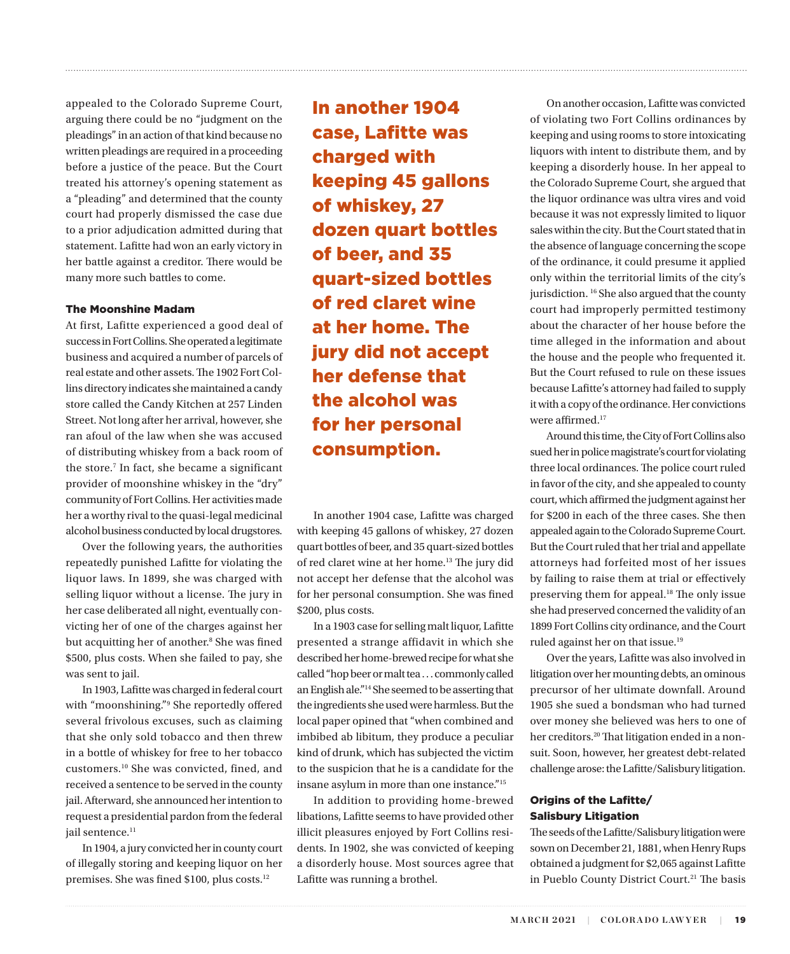appealed to the Colorado Supreme Court, arguing there could be no "judgment on the pleadings" in an action of that kind because no written pleadings are required in a proceeding before a justice of the peace. But the Court treated his attorney's opening statement as a "pleading" and determined that the county court had properly dismissed the case due to a prior adjudication admitted during that statement. Lafitte had won an early victory in her battle against a creditor. There would be many more such battles to come.

#### The Moonshine Madam

At first, Lafitte experienced a good deal of success in Fort Collins. She operated a legitimate business and acquired a number of parcels of real estate and other assets. The 1902 Fort Collins directory indicates she maintained a candy store called the Candy Kitchen at 257 Linden Street. Not long after her arrival, however, she ran afoul of the law when she was accused of distributing whiskey from a back room of the store.[7](#page-5-0) In fact, she became a significant provider of moonshine whiskey in the "dry" community of Fort Collins. Her activities made her a worthy rival to the quasi-legal medicinal alcohol business conducted by local drugstores.

Over the following years, the authorities repeatedly punished Lafitte for violating the liquor laws. In 1899, she was charged with selling liquor without a license. The jury in her case deliberated all night, eventually convicting her of one of the charges against her but acquitting her of another.<sup>[8](#page-5-0)</sup> She was fined \$500, plus costs. When she failed to pay, she was sent to jail.

In 1903, Lafitte was charged in federal court with "moonshining."[9](#page-5-0) She reportedly offered several frivolous excuses, such as claiming that she only sold tobacco and then threw in a bottle of whiskey for free to her tobacco customers.[10](#page-5-0) She was convicted, fined, and received a sentence to be served in the county jail. Afterward, she announced her intention to request a presidential pardon from the federal jail sentence.<sup>11</sup>

In 1904, a jury convicted her in county court of illegally storing and keeping liquor on her premises. She was fined \$100, plus costs.<sup>[12](#page-5-0)</sup>

In another 1904 case, Lafitte was charged with keeping 45 gallons of whiskey, 27 dozen quart bottles of beer, and 35 quart-sized bottles of red claret wine at her home. The jury did not accept her defense that the alcohol was for her personal consumption.

<span id="page-1-0"></span>

In another 1904 case, Lafitte was charged with keeping 45 gallons of whiskey, 27 dozen quart bottles of beer, and 35 quart-sized bottles of red claret wine at her home.[13](#page-5-0) The jury did not accept her defense that the alcohol was for her personal consumption. She was fined \$200, plus costs.

In a 1903 case for selling malt liquor, Lafitte presented a strange affidavit in which she described her home-brewed recipe for what she called "hop beer or malt tea . . . commonly called an English ale.["14](#page-5-0) She seemed to be asserting that the ingredients she used were harmless. But the local paper opined that "when combined and imbibed ab libitum, they produce a peculiar kind of drunk, which has subjected the victim to the suspicion that he is a candidate for the insane asylum in more than one instance.["15](#page-5-0)

In addition to providing home-brewed libations, Lafitte seems to have provided other illicit pleasures enjoyed by Fort Collins residents. In 1902, she was convicted of keeping a disorderly house. Most sources agree that Lafitte was running a brothel.

On another occasion, Lafitte was convicted of violating two Fort Collins ordinances by keeping and using rooms to store intoxicating liquors with intent to distribute them, and by keeping a disorderly house. In her appeal to the Colorado Supreme Court, she argued that the liquor ordinance was ultra vires and void because it was not expressly limited to liquor sales within the city. But the Court stated that in the absence of language concerning the scope of the ordinance, it could presume it applied only within the territorial limits of the city's jurisdiction. <sup>16</sup> She also argued that the county court had improperly permitted testimony about the character of her house before the time alleged in the information and about the house and the people who frequented it. But the Court refused to rule on these issues because Lafitte's attorney had failed to supply it with a copy of the ordinance. Her convictions were affirmed.<sup>17</sup>

Around this time, the City of Fort Collins also sued her in police magistrate's court for violating three local ordinances. The police court ruled in favor of the city, and she appealed to county court, which affirmed the judgment against her for \$200 in each of the three cases. She then appealed again to the Colorado Supreme Court. But the Court ruled that her trial and appellate attorneys had forfeited most of her issues by failing to raise them at trial or effectively preserving them for appeal.[18](#page-5-0) The only issue she had preserved concerned the validity of an 1899 Fort Collins city ordinance, and the Court ruled against her on that issue[.19](#page-5-0)

Over the years, Lafitte was also involved in litigation over her mounting debts, an ominous precursor of her ultimate downfall. Around 1905 she sued a bondsman who had turned over money she believed was hers to one of her creditors.<sup>20</sup> That litigation ended in a nonsuit. Soon, however, her greatest debt-related challenge arose: the Lafitte/Salisbury litigation.

# Origins of the Lafitte/ Salisbury Litigation

The seeds of the Lafitte/Salisbury litigation were sown on December 21, 1881, when Henry Rups obtained a judgment for \$2,065 against Lafitte in Pueblo County District Court.<sup>[21](#page-5-0)</sup> The basis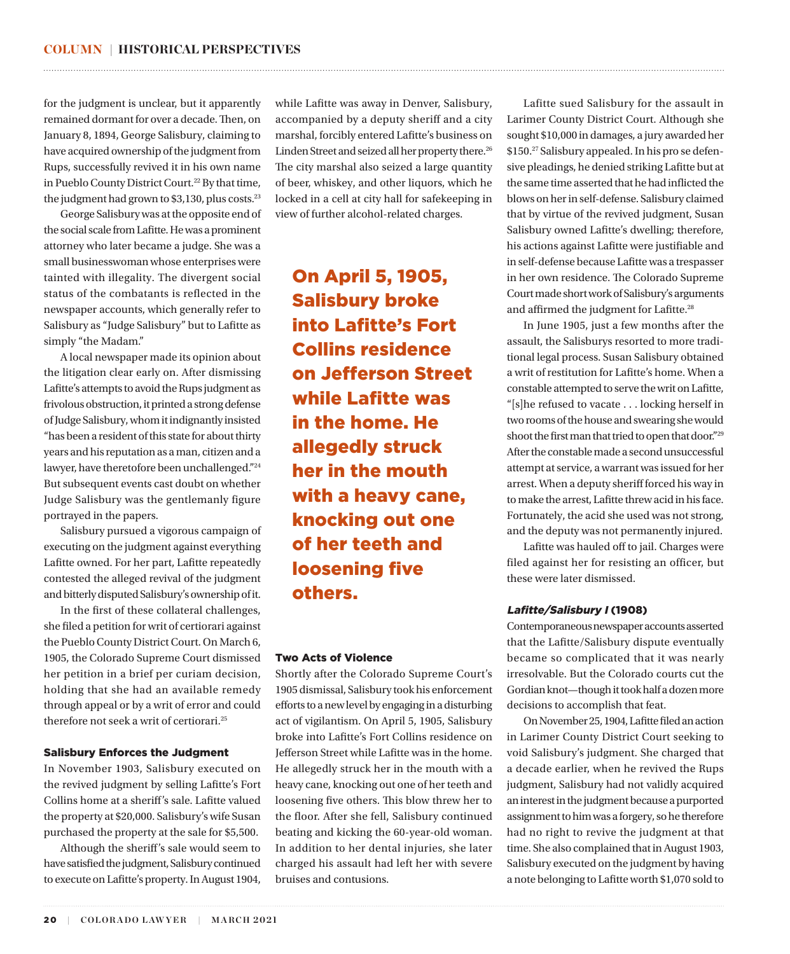for the judgment is unclear, but it apparently remained dormant for over a decade. Then, on January 8, 1894, George Salisbury, claiming to have acquired ownership of the judgment from Rups, successfully revived it in his own name in Pueblo County District Court.<sup>22</sup> By that time, the judgment had grown to \$3,130, plus costs.<sup>[23](#page-5-0)</sup>

George Salisbury was at the opposite end of the social scale from Lafitte. He was a prominent attorney who later became a judge. She was a small businesswoman whose enterprises were tainted with illegality. The divergent social status of the combatants is reflected in the newspaper accounts, which generally refer to Salisbury as "Judge Salisbury" but to Lafitte as simply "the Madam."

A local newspaper made its opinion about the litigation clear early on. After dismissing Lafitte's attempts to avoid the Rups judgment as frivolous obstruction, it printed a strong defense of Judge Salisbury, whom it indignantly insisted "has been a resident of this state for about thirty years and his reputation as a man, citizen and a lawyer, have theretofore been unchallenged."[24](#page-5-0) But subsequent events cast doubt on whether Judge Salisbury was the gentlemanly figure portrayed in the papers.

Salisbury pursued a vigorous campaign of executing on the judgment against everything Lafitte owned. For her part, Lafitte repeatedly contested the alleged revival of the judgment and bitterly disputed Salisbury's ownership of it.

In the first of these collateral challenges, she filed a petition for writ of certiorari against the Pueblo County District Court. On March 6, 1905, the Colorado Supreme Court dismissed her petition in a brief per curiam decision, holding that she had an available remedy through appeal or by a writ of error and could therefore not seek a writ of certiorari.<sup>25</sup>

#### Salisbury Enforces the Judgment

In November 1903, Salisbury executed on the revived judgment by selling Lafitte's Fort Collins home at a sheriff's sale. Lafitte valued the property at \$20,000. Salisbury's wife Susan purchased the property at the sale for \$5,500.

Although the sheriff's sale would seem to have satisfied the judgment, Salisbury continued to execute on Lafitte's property. In August 1904,

while Lafitte was away in Denver, Salisbury, accompanied by a deputy sheriff and a city marshal, forcibly entered Lafitte's business on Linden Street and seized all her property there.<sup>[26](#page-5-0)</sup> The city marshal also seized a large quantity of beer, whiskey, and other liquors, which he locked in a cell at city hall for safekeeping in view of further alcohol-related charges.

<span id="page-2-0"></span>

On April 5, 1905, Salisbury broke into Lafitte's Fort Collins residence on Jefferson Street while Lafitte was in the home. He allegedly struck her in the mouth with a heavy cane, knocking out one of her teeth and loosening five others.

#### Two Acts of Violence

Shortly after the Colorado Supreme Court's 1905 dismissal, Salisbury took his enforcement efforts to a new level by engaging in a disturbing act of vigilantism. On April 5, 1905, Salisbury broke into Lafitte's Fort Collins residence on Jefferson Street while Lafitte was in the home. He allegedly struck her in the mouth with a heavy cane, knocking out one of her teeth and loosening five others. This blow threw her to the floor. After she fell, Salisbury continued beating and kicking the 60-year-old woman. In addition to her dental injuries, she later charged his assault had left her with severe bruises and contusions.

Lafitte sued Salisbury for the assault in Larimer County District Court. Although she sought \$10,000 in damages, a jury awarded her \$150.[27](#page-5-0) Salisbury appealed. In his pro se defensive pleadings, he denied striking Lafitte but at the same time asserted that he had inflicted the blows on her in self-defense. Salisbury claimed that by virtue of the revived judgment, Susan Salisbury owned Lafitte's dwelling; therefore, his actions against Lafitte were justifiable and in self-defense because Lafitte was a trespasser in her own residence. The Colorado Supreme Court made short work of Salisbury's arguments and affirmed the judgment for Lafitte.<sup>28</sup>

In June 1905, just a few months after the assault, the Salisburys resorted to more traditional legal process. Susan Salisbury obtained a writ of restitution for Lafitte's home. When a constable attempted to serve the writ on Lafitte, "[s]he refused to vacate . . . locking herself in two rooms of the house and swearing she would shoot the first man that tried to open that door."[29](#page-5-0) After the constable made a second unsuccessful attempt at service, a warrant was issued for her arrest. When a deputy sheriff forced his way in to make the arrest, Lafitte threw acid in his face. Fortunately, the acid she used was not strong, and the deputy was not permanently injured.

Lafitte was hauled off to jail. Charges were filed against her for resisting an officer, but these were later dismissed.

### Lafitte/Salisbury I (1908)

Contemporaneous newspaper accounts asserted that the Lafitte/Salisbury dispute eventually became so complicated that it was nearly irresolvable. But the Colorado courts cut the Gordian knot—though it took half a dozen more decisions to accomplish that feat.

On November 25, 1904, Lafitte filed an action in Larimer County District Court seeking to void Salisbury's judgment. She charged that a decade earlier, when he revived the Rups judgment, Salisbury had not validly acquired an interest in the judgment because a purported assignment to him was a forgery, so he therefore had no right to revive the judgment at that time. She also complained that in August 1903, Salisbury executed on the judgment by having a note belonging to Lafitte worth \$1,070 sold to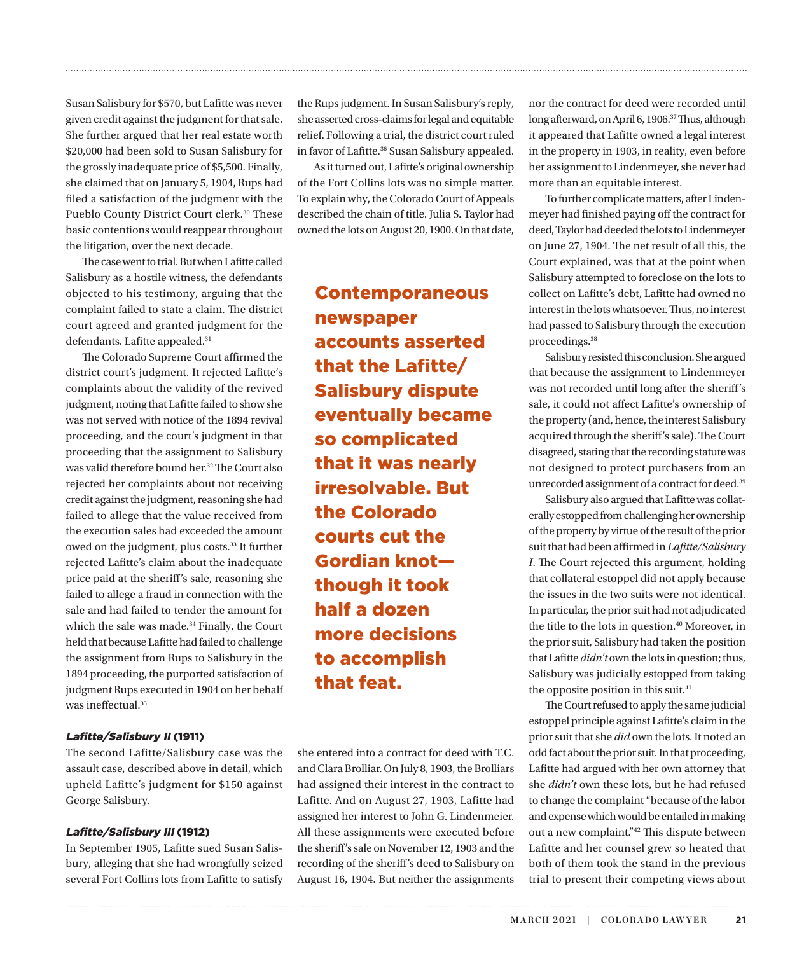Susan Salisbury for \$570, but Lafitte was never given credit against the judgment for that sale. She further argued that her real estate worth \$20,000 had been sold to Susan Salisbury for the grossly inadequate price of \$5,500. Finally, she claimed that on January 5, 1904, Rups had filed a satisfaction of the judgment with the Pueblo County District Court clerk.<sup>[30](#page-5-0)</sup> These basic contentions would reappear throughout the litigation, over the next decade.

The case went to trial. But when Lafitte called Salisbury as a hostile witness, the defendants objected to his testimony, arguing that the complaint failed to state a claim. The district court agreed and granted judgment for the defendants. Lafitte appealed.<sup>31</sup>

The Colorado Supreme Court affirmed the district court's judgment. It rejected Lafitte's complaints about the validity of the revived judgment, noting that Lafitte failed to show she was not served with notice of the 1894 revival proceeding, and the court's judgment in that proceeding that the assignment to Salisbury was valid therefore bound her.[32](#page-5-0) The Court also rejected her complaints about not receiving credit against the judgment, reasoning she had failed to allege that the value received from the execution sales had exceeded the amount owed on the judgment, plus costs.[33](#page-5-0) It further rejected Lafitte's claim about the inadequate price paid at the sheriff's sale, reasoning she failed to allege a fraud in connection with the sale and had failed to tender the amount for which the sale was made.<sup>34</sup> Finally, the Court held that because Lafitte had failed to challenge the assignment from Rups to Salisbury in the 1894 proceeding, the purported satisfaction of judgment Rups executed in 1904 on her behalf was ineffectual[.35](#page-5-0)

# Lafitte/Salisbury II (1911)

The second Lafitte/Salisbury case was the assault case, described above in detail, which upheld Lafitte's judgment for \$150 against George Salisbury.

# Lafitte/Salisbury III (1912)

In September 1905, Lafitte sued Susan Salisbury, alleging that she had wrongfully seized several Fort Collins lots from Lafitte to satisfy the Rups judgment. In Susan Salisbury's reply, she asserted cross-claims for legal and equitable relief. Following a trial, the district court ruled in favor of Lafitte.<sup>36</sup> Susan Salisbury appealed.

<span id="page-3-0"></span>

As it turned out, Lafitte's original ownership of the Fort Collins lots was no simple matter. To explain why, the Colorado Court of Appeals described the chain of title. Julia S. Taylor had owned the lots on August 20, 1900. On that date,

Contemporaneous newspaper accounts asserted that the Lafitte/ Salisbury dispute eventually became so complicated that it was nearly irresolvable. But the Colorado courts cut the Gordian knot though it took half a dozen more decisions to accomplish that feat.

she entered into a contract for deed with T.C. and Clara Brolliar. On July 8, 1903, the Brolliars had assigned their interest in the contract to Lafitte. And on August 27, 1903, Lafitte had assigned her interest to John G. Lindenmeier. All these assignments were executed before the sheriff's sale on November 12, 1903 and the recording of the sheriff's deed to Salisbury on August 16, 1904. But neither the assignments nor the contract for deed were recorded until long afterward, on April 6, 1906[.37](#page-5-0) Thus, although it appeared that Lafitte owned a legal interest in the property in 1903, in reality, even before her assignment to Lindenmeyer, she never had more than an equitable interest.

To further complicate matters, after Lindenmeyer had finished paying off the contract for deed, Taylor had deeded the lots to Lindenmeyer on June 27, 1904. The net result of all this, the Court explained, was that at the point when Salisbury attempted to foreclose on the lots to collect on Lafitte's debt, Lafitte had owned no interest in the lots whatsoever. Thus, no interest had passed to Salisbury through the execution proceedings.[38](#page-5-0)

Salisbury resisted this conclusion. She argued that because the assignment to Lindenmeyer was not recorded until long after the sheriff's sale, it could not affect Lafitte's ownership of the property (and, hence, the interest Salisbury acquired through the sheriff's sale). The Court disagreed, stating that the recording statute was not designed to protect purchasers from an unrecorded assignment of a contract for deed.<sup>[39](#page-5-0)</sup>

Salisbury also argued that Lafitte was collaterally estopped from challenging her ownership of the property by virtue of the result of the prior suit that had been affirmed in *Lafitte/Salisbury I*. The Court rejected this argument, holding that collateral estoppel did not apply because the issues in the two suits were not identical. In particular, the prior suit had not adjudicated the title to the lots in question.<sup>[40](#page-5-0)</sup> Moreover, in the prior suit, Salisbury had taken the position that Lafitte *didn't* own the lots in question; thus, Salisbury was judicially estopped from taking the opposite position in this suit.<sup>41</sup>

The Court refused to apply the same judicial estoppel principle against Lafitte's claim in the prior suit that she *did* own the lots. It noted an odd fact about the prior suit. In that proceeding, Lafitte had argued with her own attorney that she *didn't* own these lots, but he had refused to change the complaint "because of the labor and expense which would be entailed in making out a new complaint.["42](#page-5-0) This dispute between Lafitte and her counsel grew so heated that both of them took the stand in the previous trial to present their competing views about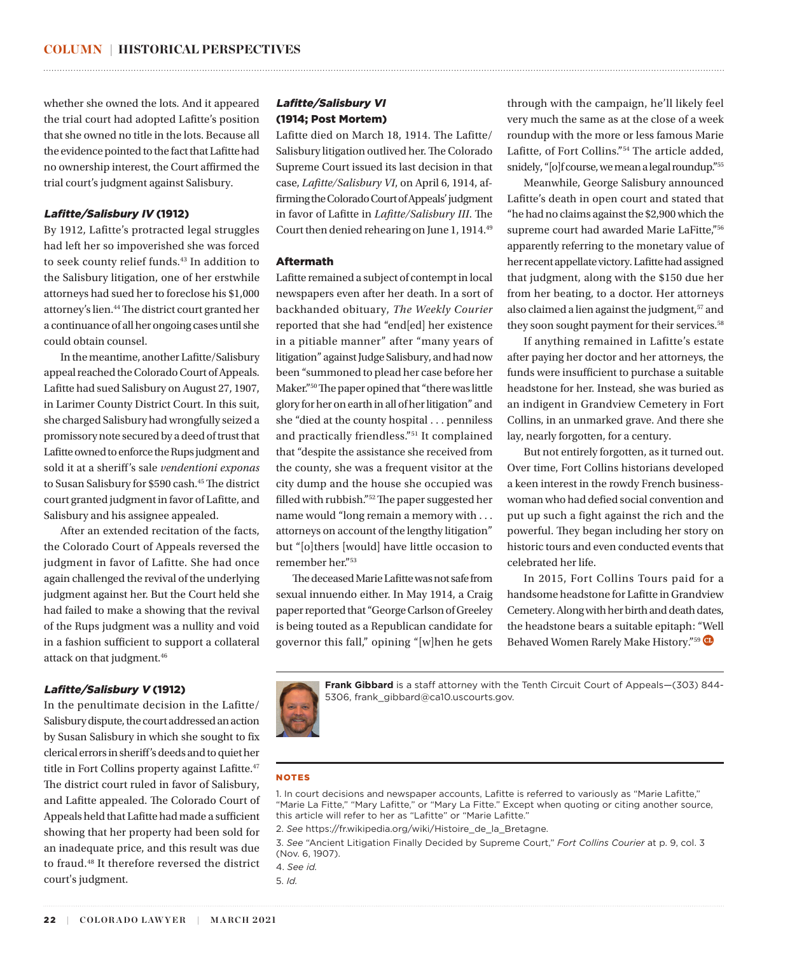whether she owned the lots. And it appeared the trial court had adopted Lafitte's position that she owned no title in the lots. Because all the evidence pointed to the fact that Lafitte had no ownership interest, the Court affirmed the trial court's judgment against Salisbury.

# Lafitte/Salisbury IV (1912)

By 1912, Lafitte's protracted legal struggles had left her so impoverished she was forced to seek county relief funds.<sup>43</sup> In addition to the Salisbury litigation, one of her erstwhile attorneys had sued her to foreclose his \$1,000 attorney's lien[.44](#page-5-0) The district court granted her a continuance of all her ongoing cases until she could obtain counsel.

In the meantime, another Lafitte/Salisbury appeal reached the Colorado Court of Appeals. Lafitte had sued Salisbury on August 27, 1907, in Larimer County District Court. In this suit, she charged Salisbury had wrongfully seized a promissory note secured by a deed of trust that Lafitte owned to enforce the Rups judgment and sold it at a sheriff's sale *vendentioni exponas* to Susan Salisbury for \$590 cash[.45](#page-5-0) The district court granted judgment in favor of Lafitte, and Salisbury and his assignee appealed.

After an extended recitation of the facts, the Colorado Court of Appeals reversed the judgment in favor of Lafitte. She had once again challenged the revival of the underlying judgment against her. But the Court held she had failed to make a showing that the revival of the Rups judgment was a nullity and void in a fashion sufficient to support a collateral attack on that judgment.<sup>[46](#page-5-0)</sup>

### Lafitte/Salisbury V (1912)

In the penultimate decision in the Lafitte/ Salisbury dispute, the court addressed an action by Susan Salisbury in which she sought to fix clerical errors in sheriff's deeds and to quiet her title in Fort Collins property against Lafitte.<sup>[47](#page-5-0)</sup> The district court ruled in favor of Salisbury, and Lafitte appealed. The Colorado Court of Appeals held that Lafitte had made a sufficient showing that her property had been sold for an inadequate price, and this result was due to fraud.[48](#page-5-0) It therefore reversed the district court's judgment.

# Lafitte/Salisbury VI (1914; Post Mortem)

Lafitte died on March 18, 1914. The Lafitte/ Salisbury litigation outlived her. The Colorado Supreme Court issued its last decision in that case, *Lafitte/Salisbury VI*, on April 6, 1914, affirming the Colorado Court of Appeals' judgment in favor of Lafitte in *Lafitte/Salisbury III*. The Court then denied rehearing on June 1, 1914.[49](#page-5-0)

<span id="page-4-0"></span>

## Aftermath

Lafitte remained a subject of contempt in local newspapers even after her death. In a sort of backhanded obituary, *The Weekly Courier* reported that she had "end[ed] her existence in a pitiable manner" after "many years of litigation" against Judge Salisbury, and had now been "summoned to plead her case before her Maker."[50](#page-5-0) The paper opined that "there was little glory for her on earth in all of her litigation" and she "died at the county hospital . . . penniless and practically friendless."[51](#page-5-0) It complained that "despite the assistance she received from the county, she was a frequent visitor at the city dump and the house she occupied was filled with rubbish."[52](#page-5-0) The paper suggested her name would "long remain a memory with . . . attorneys on account of the lengthy litigation" but "[o]thers [would] have little occasion to remember her.["53](#page-5-0)

The deceased Marie Lafitte was not safe from sexual innuendo either. In May 1914, a Craig paper reported that "George Carlson of Greeley is being touted as a Republican candidate for governor this fall," opining "[w]hen he gets

through with the campaign, he'll likely feel very much the same as at the close of a week roundup with the more or less famous Marie Lafitte, of Fort Collins."[54](#page-5-0) The article added, snidely, "[o]f course, we mean a legal roundup.["55](#page-5-0)

Meanwhile, George Salisbury announced Lafitte's death in open court and stated that "he had no claims against the \$2,900 which the supreme court had awarded Marie LaFitte,"[56](#page-5-0) apparently referring to the monetary value of her recent appellate victory. Lafitte had assigned that judgment, along with the \$150 due her from her beating, to a doctor. Her attorneys also claimed a lien against the judgment,<sup>[57](#page-5-0)</sup> and they soon sought payment for their services.<sup>[58](#page-5-0)</sup>

If anything remained in Lafitte's estate after paying her doctor and her attorneys, the funds were insufficient to purchase a suitable headstone for her. Instead, she was buried as an indigent in Grandview Cemetery in Fort Collins, in an unmarked grave. And there she lay, nearly forgotten, for a century.

But not entirely forgotten, as it turned out. Over time, Fort Collins historians developed a keen interest in the rowdy French businesswoman who had defied social convention and put up such a fight against the rich and the powerful. They began including her story on historic tours and even conducted events that celebrated her life.

In 2015, Fort Collins Tours paid for a handsome headstone for Lafitte in Grandview Cemetery. Along with her birth and death dates, the headstone bears a suitable epitaph: "Well Behaved Women Rarely Make History."<sup>59</sup>



Frank Gibbard is a staff attorney with the Tenth Circuit Court of Appeals-(303) 844-5306, frank\_gibbard@ca10.uscourts.gov.

#### **NOTES**

[1](#page-0-0). In court decisions and newspaper accounts, Lafitte is referred to variously as "Marie Lafitte," "Marie La Fitte," "Mary Lafitte," or "Mary La Fitte." Except when quoting or citing another source, this article will refer to her as "Lafitte" or "Marie Lafitte."

[2.](#page-0-0) *See* https://fr.wikipedia.org/wiki/Histoire\_de\_la\_Bretagne.

[3](#page-0-0). *See* "Ancient Litigation Finally Decided by Supreme Court," *Fort Collins Courier* at p. 9, col. 3 (Nov. 6, 1907).

[4.](#page-0-0) *See id.*

[5](#page-0-0). *Id.*